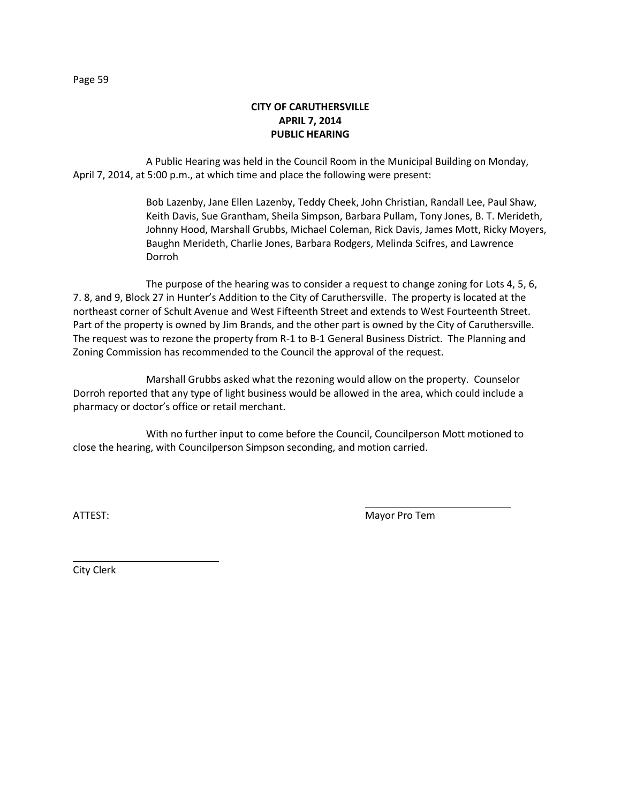A Public Hearing was held in the Council Room in the Municipal Building on Monday, April 7, 2014, at 5:00 p.m., at which time and place the following were present:

> Bob Lazenby, Jane Ellen Lazenby, Teddy Cheek, John Christian, Randall Lee, Paul Shaw, Keith Davis, Sue Grantham, Sheila Simpson, Barbara Pullam, Tony Jones, B. T. Merideth, Johnny Hood, Marshall Grubbs, Michael Coleman, Rick Davis, James Mott, Ricky Moyers, Baughn Merideth, Charlie Jones, Barbara Rodgers, Melinda Scifres, and Lawrence Dorroh

The purpose of the hearing was to consider a request to change zoning for Lots 4, 5, 6, 7. 8, and 9, Block 27 in Hunter's Addition to the City of Caruthersville. The property is located at the northeast corner of Schult Avenue and West Fifteenth Street and extends to West Fourteenth Street. Part of the property is owned by Jim Brands, and the other part is owned by the City of Caruthersville. The request was to rezone the property from R-1 to B-1 General Business District. The Planning and Zoning Commission has recommended to the Council the approval of the request.

Marshall Grubbs asked what the rezoning would allow on the property. Counselor Dorroh reported that any type of light business would be allowed in the area, which could include a pharmacy or doctor's office or retail merchant.

With no further input to come before the Council, Councilperson Mott motioned to close the hearing, with Councilperson Simpson seconding, and motion carried.

ATTEST: Mayor Pro Tem

City Clerk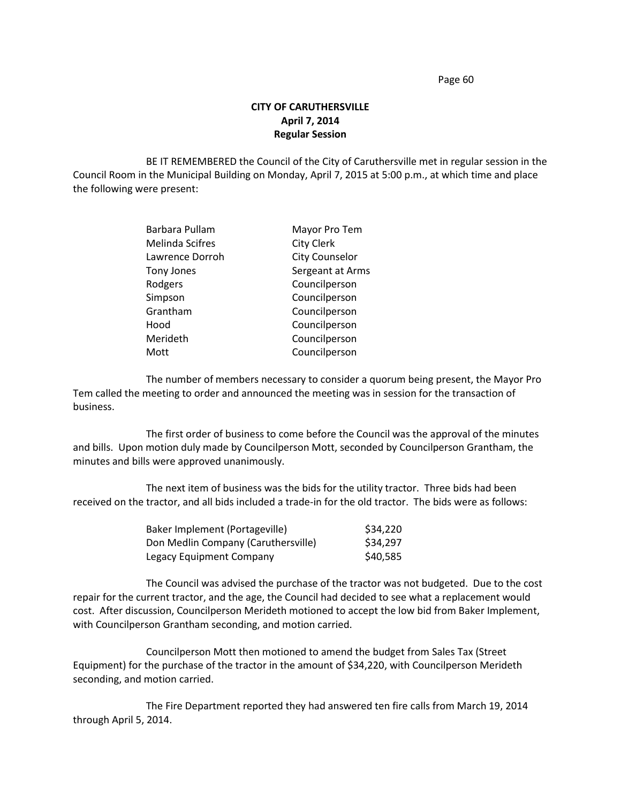## **CITY OF CARUTHERSVILLE April 7, 2014 Regular Session**

BE IT REMEMBERED the Council of the City of Caruthersville met in regular session in the Council Room in the Municipal Building on Monday, April 7, 2015 at 5:00 p.m., at which time and place the following were present:

| Barbara Pullam  | Mayor Pro Tem         |
|-----------------|-----------------------|
| Melinda Scifres | <b>City Clerk</b>     |
| Lawrence Dorroh | <b>City Counselor</b> |
| Tony Jones      | Sergeant at Arms      |
| Rodgers         | Councilperson         |
| Simpson         | Councilperson         |
| Grantham        | Councilperson         |
| Hood            | Councilperson         |
| Merideth        | Councilperson         |
| Mott            | Councilperson         |

The number of members necessary to consider a quorum being present, the Mayor Pro Tem called the meeting to order and announced the meeting was in session for the transaction of business.

The first order of business to come before the Council was the approval of the minutes and bills. Upon motion duly made by Councilperson Mott, seconded by Councilperson Grantham, the minutes and bills were approved unanimously.

The next item of business was the bids for the utility tractor. Three bids had been received on the tractor, and all bids included a trade-in for the old tractor. The bids were as follows:

| Baker Implement (Portageville)      | \$34,220 |
|-------------------------------------|----------|
| Don Medlin Company (Caruthersville) | \$34,297 |
| Legacy Equipment Company            | \$40,585 |

The Council was advised the purchase of the tractor was not budgeted. Due to the cost repair for the current tractor, and the age, the Council had decided to see what a replacement would cost. After discussion, Councilperson Merideth motioned to accept the low bid from Baker Implement, with Councilperson Grantham seconding, and motion carried.

Councilperson Mott then motioned to amend the budget from Sales Tax (Street Equipment) for the purchase of the tractor in the amount of \$34,220, with Councilperson Merideth seconding, and motion carried.

The Fire Department reported they had answered ten fire calls from March 19, 2014 through April 5, 2014.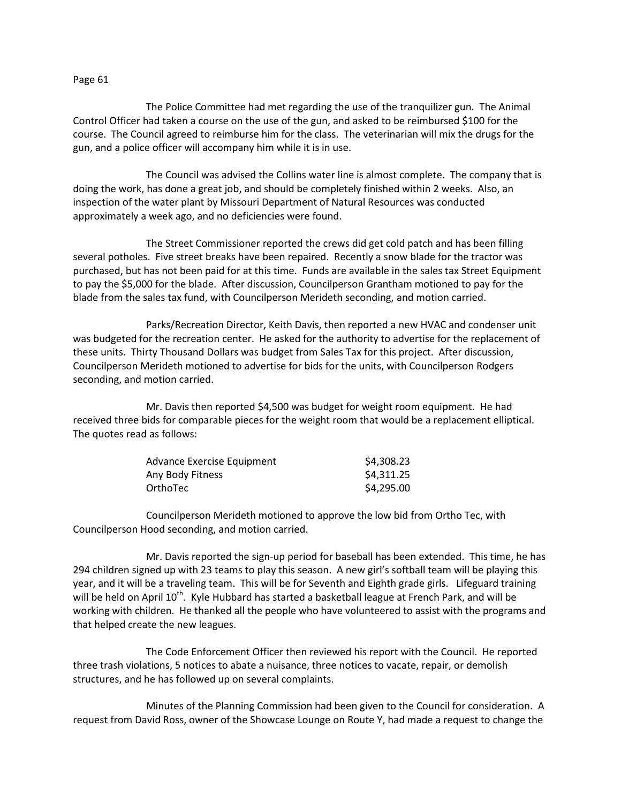The Police Committee had met regarding the use of the tranquilizer gun. The Animal Control Officer had taken a course on the use of the gun, and asked to be reimbursed \$100 for the course. The Council agreed to reimburse him for the class. The veterinarian will mix the drugs for the gun, and a police officer will accompany him while it is in use.

The Council was advised the Collins water line is almost complete. The company that is doing the work, has done a great job, and should be completely finished within 2 weeks. Also, an inspection of the water plant by Missouri Department of Natural Resources was conducted approximately a week ago, and no deficiencies were found.

The Street Commissioner reported the crews did get cold patch and has been filling several potholes. Five street breaks have been repaired. Recently a snow blade for the tractor was purchased, but has not been paid for at this time. Funds are available in the sales tax Street Equipment to pay the \$5,000 for the blade. After discussion, Councilperson Grantham motioned to pay for the blade from the sales tax fund, with Councilperson Merideth seconding, and motion carried.

Parks/Recreation Director, Keith Davis, then reported a new HVAC and condenser unit was budgeted for the recreation center. He asked for the authority to advertise for the replacement of these units. Thirty Thousand Dollars was budget from Sales Tax for this project. After discussion, Councilperson Merideth motioned to advertise for bids for the units, with Councilperson Rodgers seconding, and motion carried.

Mr. Davis then reported \$4,500 was budget for weight room equipment. He had received three bids for comparable pieces for the weight room that would be a replacement elliptical. The quotes read as follows:

| Advance Exercise Equipment | \$4,308.23 |
|----------------------------|------------|
| Any Body Fitness           | \$4,311.25 |
| OrthoTec                   | \$4,295.00 |

Councilperson Merideth motioned to approve the low bid from Ortho Tec, with Councilperson Hood seconding, and motion carried.

Mr. Davis reported the sign-up period for baseball has been extended. This time, he has 294 children signed up with 23 teams to play this season. A new girl's softball team will be playing this year, and it will be a traveling team. This will be for Seventh and Eighth grade girls. Lifeguard training will be held on April 10<sup>th</sup>. Kyle Hubbard has started a basketball league at French Park, and will be working with children. He thanked all the people who have volunteered to assist with the programs and that helped create the new leagues.

The Code Enforcement Officer then reviewed his report with the Council. He reported three trash violations, 5 notices to abate a nuisance, three notices to vacate, repair, or demolish structures, and he has followed up on several complaints.

Minutes of the Planning Commission had been given to the Council for consideration. A request from David Ross, owner of the Showcase Lounge on Route Y, had made a request to change the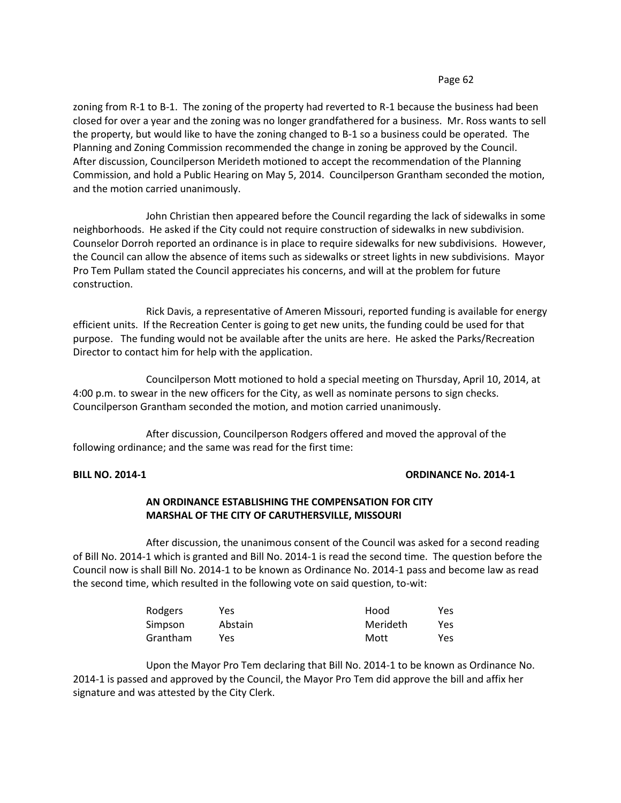zoning from R-1 to B-1. The zoning of the property had reverted to R-1 because the business had been closed for over a year and the zoning was no longer grandfathered for a business. Mr. Ross wants to sell the property, but would like to have the zoning changed to B-1 so a business could be operated. The Planning and Zoning Commission recommended the change in zoning be approved by the Council. After discussion, Councilperson Merideth motioned to accept the recommendation of the Planning Commission, and hold a Public Hearing on May 5, 2014. Councilperson Grantham seconded the motion, and the motion carried unanimously.

John Christian then appeared before the Council regarding the lack of sidewalks in some neighborhoods. He asked if the City could not require construction of sidewalks in new subdivision. Counselor Dorroh reported an ordinance is in place to require sidewalks for new subdivisions. However, the Council can allow the absence of items such as sidewalks or street lights in new subdivisions. Mayor Pro Tem Pullam stated the Council appreciates his concerns, and will at the problem for future construction.

Rick Davis, a representative of Ameren Missouri, reported funding is available for energy efficient units. If the Recreation Center is going to get new units, the funding could be used for that purpose. The funding would not be available after the units are here. He asked the Parks/Recreation Director to contact him for help with the application.

Councilperson Mott motioned to hold a special meeting on Thursday, April 10, 2014, at 4:00 p.m. to swear in the new officers for the City, as well as nominate persons to sign checks. Councilperson Grantham seconded the motion, and motion carried unanimously.

After discussion, Councilperson Rodgers offered and moved the approval of the following ordinance; and the same was read for the first time:

## **BILL NO. 2014-1 ORDINANCE No. 2014-1**

## **AN ORDINANCE ESTABLISHING THE COMPENSATION FOR CITY MARSHAL OF THE CITY OF CARUTHERSVILLE, MISSOURI**

After discussion, the unanimous consent of the Council was asked for a second reading of Bill No. 2014-1 which is granted and Bill No. 2014-1 is read the second time. The question before the Council now is shall Bill No. 2014-1 to be known as Ordinance No. 2014-1 pass and become law as read the second time, which resulted in the following vote on said question, to-wit:

| Rodgers  | Yes     | Hood     | Yes |
|----------|---------|----------|-----|
| Simpson  | Abstain | Merideth | Yes |
| Grantham | Yes.    | Mott     | Yes |

Upon the Mayor Pro Tem declaring that Bill No. 2014-1 to be known as Ordinance No. 2014-1 is passed and approved by the Council, the Mayor Pro Tem did approve the bill and affix her signature and was attested by the City Clerk.